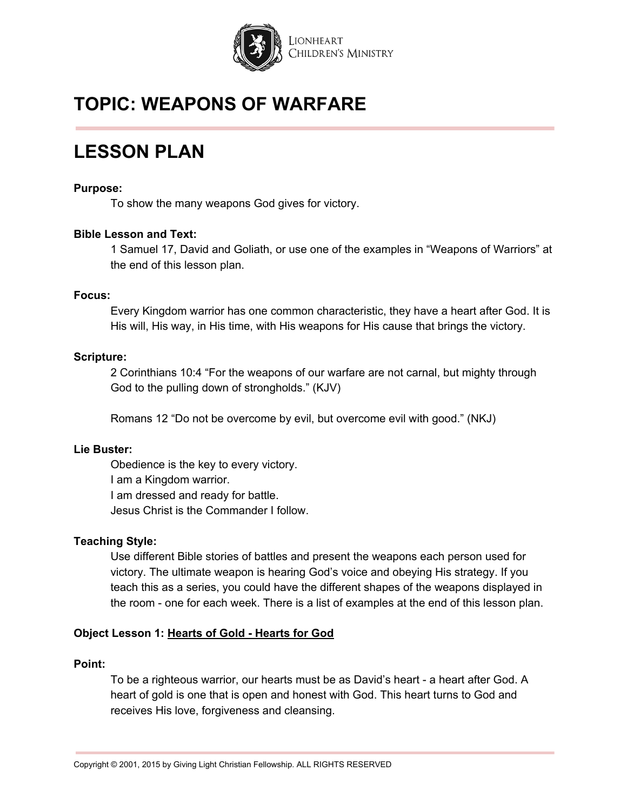

# **LESSON PLAN**

#### **Purpose:**

To show the many weapons God gives for victory.

### **Bible Lesson and Text:**

1 Samuel 17, David and Goliath, or use one of the examples in "Weapons of Warriors" at the end of this lesson plan.

#### **Focus:**

Every Kingdom warrior has one common characteristic, they have a heart after God. It is His will, His way, in His time, with His weapons for His cause that brings the victory.

#### **Scripture:**

2 Corinthians 10:4 "For the weapons of our warfare are not carnal, but mighty through God to the pulling down of strongholds." (KJV)

Romans 12 "Do not be overcome by evil, but overcome evil with good." (NKJ)

### **Lie Buster:**

Obedience is the key to every victory. I am a Kingdom warrior. I am dressed and ready for battle. Jesus Christ is the Commander I follow.

#### **Teaching Style:**

Use different Bible stories of battles and present the weapons each person used for victory. The ultimate weapon is hearing God's voice and obeying His strategy. If you teach this as a series, you could have the different shapes of the weapons displayed in the room - one for each week. There is a list of examples at the end of this lesson plan.

### **Object Lesson 1: Hearts of Gold - Hearts for God**

#### **Point:**

To be a righteous warrior, our hearts must be as David's heart - a heart after God. A heart of gold is one that is open and honest with God. This heart turns to God and receives His love, forgiveness and cleansing.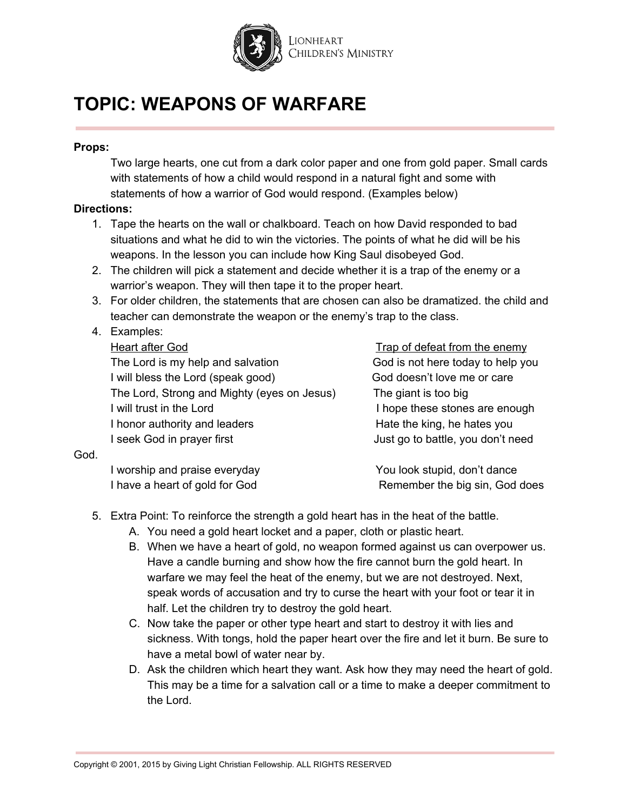

### **Props:**

Two large hearts, one cut from a dark color paper and one from gold paper. Small cards with statements of how a child would respond in a natural fight and some with statements of how a warrior of God would respond. (Examples below)

### **Directions:**

- 1. Tape the hearts on the wall or chalkboard. Teach on how David responded to bad situations and what he did to win the victories. The points of what he did will be his weapons. In the lesson you can include how King Saul disobeyed God.
- 2. The children will pick a statement and decide whether it is a trap of the enemy or a warrior's weapon. They will then tape it to the proper heart.
- 3. For older children, the statements that are chosen can also be dramatized. the child and teacher can demonstrate the weapon or the enemy's trap to the class.

# 4. Examples:

The Lord is my help and salvation God is not here today to help you I will bless the Lord (speak good) God doesn't love me or care The Lord, Strong and Mighty (eyes on Jesus) The giant is too big I will trust in the Lord I hope these stones are enough I honor authority and leaders **Hate the king, he hates you** I seek God in prayer first **I** seek God in prayer first

Heart after God Trap of defeat from the enemy

### God.

I worship and praise everyday Now You look stupid, don't dance

I have a heart of gold for God **Remember the big sin, God does** 

- 5. Extra Point: To reinforce the strength a gold heart has in the heat of the battle.
	- A. You need a gold heart locket and a paper, cloth or plastic heart.
	- B. When we have a heart of gold, no weapon formed against us can overpower us. Have a candle burning and show how the fire cannot burn the gold heart. In warfare we may feel the heat of the enemy, but we are not destroyed. Next, speak words of accusation and try to curse the heart with your foot or tear it in half. Let the children try to destroy the gold heart.
	- C. Now take the paper or other type heart and start to destroy it with lies and sickness. With tongs, hold the paper heart over the fire and let it burn. Be sure to have a metal bowl of water near by.
	- D. Ask the children which heart they want. Ask how they may need the heart of gold. This may be a time for a salvation call or a time to make a deeper commitment to the Lord.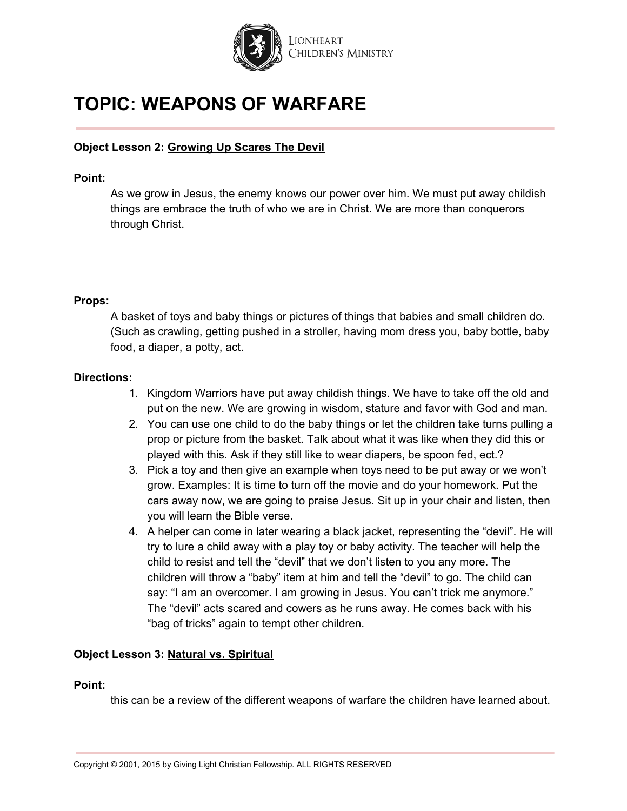

### **Object Lesson 2: Growing Up Scares The Devil**

#### **Point:**

As we grow in Jesus, the enemy knows our power over him. We must put away childish things are embrace the truth of who we are in Christ. We are more than conquerors through Christ.

#### **Props:**

A basket of toys and baby things or pictures of things that babies and small children do. (Such as crawling, getting pushed in a stroller, having mom dress you, baby bottle, baby food, a diaper, a potty, act.

#### **Directions:**

- 1. Kingdom Warriors have put away childish things. We have to take off the old and put on the new. We are growing in wisdom, stature and favor with God and man.
- 2. You can use one child to do the baby things or let the children take turns pulling a prop or picture from the basket. Talk about what it was like when they did this or played with this. Ask if they still like to wear diapers, be spoon fed, ect.?
- 3. Pick a toy and then give an example when toys need to be put away or we won't grow. Examples: It is time to turn off the movie and do your homework. Put the cars away now, we are going to praise Jesus. Sit up in your chair and listen, then you will learn the Bible verse.
- 4. A helper can come in later wearing a black jacket, representing the "devil". He will try to lure a child away with a play toy or baby activity. The teacher will help the child to resist and tell the "devil" that we don't listen to you any more. The children will throw a "baby" item at him and tell the "devil" to go. The child can say: "I am an overcomer. I am growing in Jesus. You can't trick me anymore." The "devil" acts scared and cowers as he runs away. He comes back with his "bag of tricks" again to tempt other children.

### **Object Lesson 3: Natural vs. Spiritual**

#### **Point:**

this can be a review of the different weapons of warfare the children have learned about.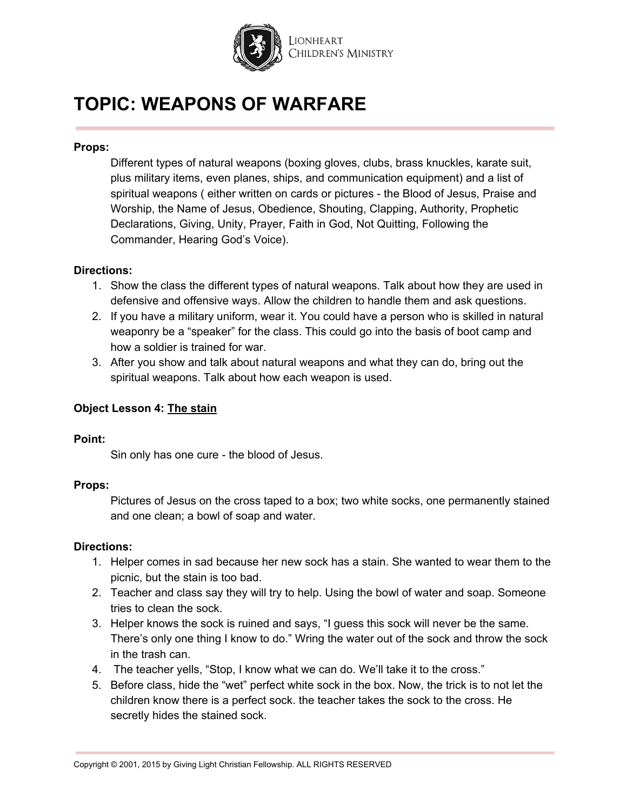

### **Props:**

Different types of natural weapons (boxing gloves, clubs, brass knuckles, karate suit, plus military items, even planes, ships, and communication equipment) and a list of spiritual weapons ( either written on cards or pictures - the Blood of Jesus, Praise and Worship, the Name of Jesus, Obedience, Shouting, Clapping, Authority, Prophetic Declarations, Giving, Unity, Prayer, Faith in God, Not Quitting, Following the Commander, Hearing God's Voice).

### **Directions:**

- 1. Show the class the different types of natural weapons. Talk about how they are used in defensive and offensive ways. Allow the children to handle them and ask questions.
- 2. If you have a military uniform, wear it. You could have a person who is skilled in natural weaponry be a "speaker" for the class. This could go into the basis of boot camp and how a soldier is trained for war.
- 3. After you show and talk about natural weapons and what they can do, bring out the spiritual weapons. Talk about how each weapon is used.

### **Object Lesson 4: The stain**

### **Point:**

Sin only has one cure - the blood of Jesus.

### **Props:**

Pictures of Jesus on the cross taped to a box; two white socks, one permanently stained and one clean; a bowl of soap and water.

### **Directions:**

- 1. Helper comes in sad because her new sock has a stain. She wanted to wear them to the picnic, but the stain is too bad.
- 2. Teacher and class say they will try to help. Using the bowl of water and soap. Someone tries to clean the sock.
- 3. Helper knows the sock is ruined and says, "I guess this sock will never be the same. There's only one thing I know to do." Wring the water out of the sock and throw the sock in the trash can.
- 4. The teacher yells, "Stop, I know what we can do. We'll take it to the cross."
- 5. Before class, hide the "wet" perfect white sock in the box. Now, the trick is to not let the children know there is a perfect sock. the teacher takes the sock to the cross. He secretly hides the stained sock.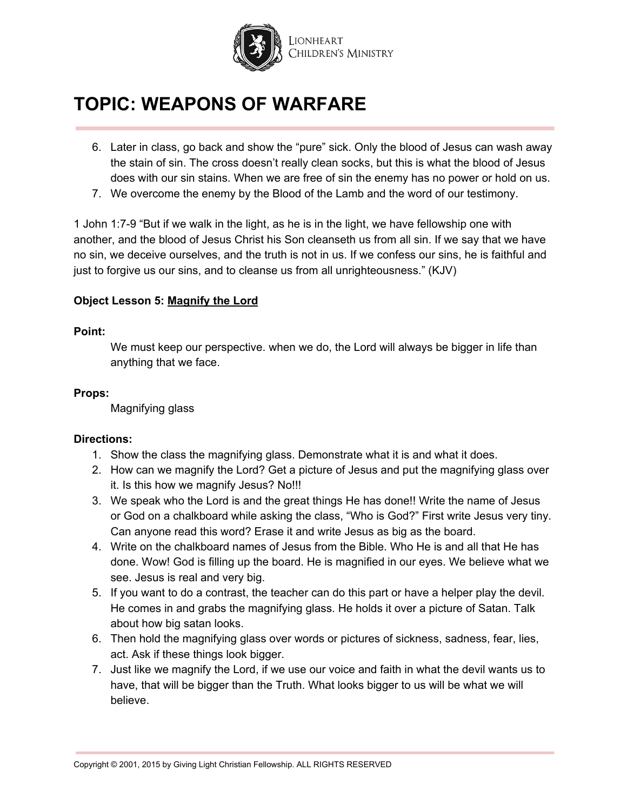

- 6. Later in class, go back and show the "pure" sick. Only the blood of Jesus can wash away the stain of sin. The cross doesn't really clean socks, but this is what the blood of Jesus does with our sin stains. When we are free of sin the enemy has no power or hold on us.
- 7. We overcome the enemy by the Blood of the Lamb and the word of our testimony.

1 John 1:7-9 "But if we walk in the light, as he is in the light, we have fellowship one with another, and the blood of Jesus Christ his Son cleanseth us from all sin. If we say that we have no sin, we deceive ourselves, and the truth is not in us. If we confess our sins, he is faithful and just to forgive us our sins, and to cleanse us from all unrighteousness." (KJV)

### **Object Lesson 5: Magnify the Lord**

### **Point:**

We must keep our perspective. when we do, the Lord will always be bigger in life than anything that we face.

### **Props:**

Magnifying glass

### **Directions:**

- 1. Show the class the magnifying glass. Demonstrate what it is and what it does.
- 2. How can we magnify the Lord? Get a picture of Jesus and put the magnifying glass over it. Is this how we magnify Jesus? No!!!
- 3. We speak who the Lord is and the great things He has done!! Write the name of Jesus or God on a chalkboard while asking the class, "Who is God?" First write Jesus very tiny. Can anyone read this word? Erase it and write Jesus as big as the board.
- 4. Write on the chalkboard names of Jesus from the Bible. Who He is and all that He has done. Wow! God is filling up the board. He is magnified in our eyes. We believe what we see. Jesus is real and very big.
- 5. If you want to do a contrast, the teacher can do this part or have a helper play the devil. He comes in and grabs the magnifying glass. He holds it over a picture of Satan. Talk about how big satan looks.
- 6. Then hold the magnifying glass over words or pictures of sickness, sadness, fear, lies, act. Ask if these things look bigger.
- 7. Just like we magnify the Lord, if we use our voice and faith in what the devil wants us to have, that will be bigger than the Truth. What looks bigger to us will be what we will believe.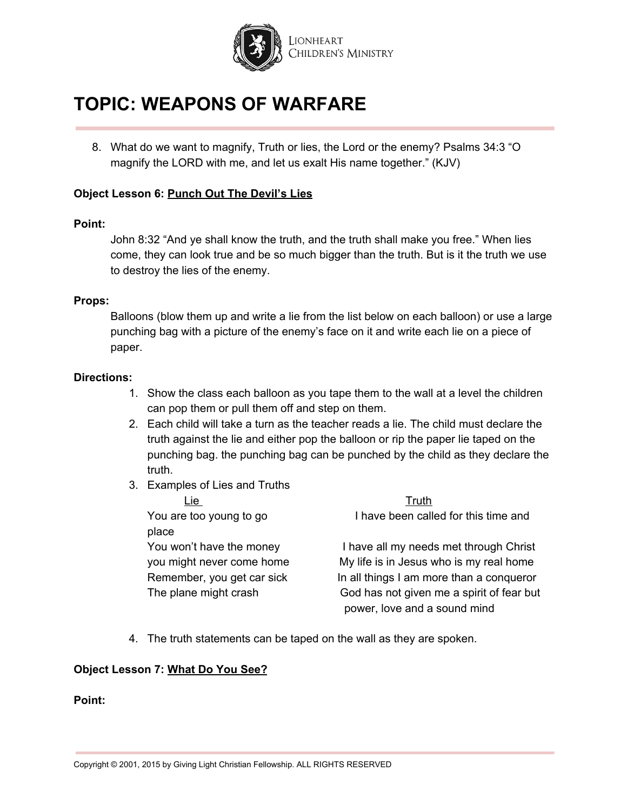

8. What do we want to magnify, Truth or lies, the Lord or the enemy? Psalms 34:3 "O magnify the LORD with me, and let us exalt His name together." (KJV)

### **Object Lesson 6: Punch Out The Devil's Lies**

#### **Point:**

John 8:32 "And ye shall know the truth, and the truth shall make you free." When lies come, they can look true and be so much bigger than the truth. But is it the truth we use to destroy the lies of the enemy.

#### **Props:**

Balloons (blow them up and write a lie from the list below on each balloon) or use a large punching bag with a picture of the enemy's face on it and write each lie on a piece of paper.

#### **Directions:**

- 1. Show the class each balloon as you tape them to the wall at a level the children can pop them or pull them off and step on them.
- 2. Each child will take a turn as the teacher reads a lie. The child must declare the truth against the lie and either pop the balloon or rip the paper lie taped on the punching bag. the punching bag can be punched by the child as they declare the truth.
- 3. Examples of Lies and Truths

| Lie                        | Truth                                     |
|----------------------------|-------------------------------------------|
| You are too young to go    | I have been called for this time and      |
| place                      |                                           |
| You won't have the money   | I have all my needs met through Christ    |
| you might never come home  | My life is in Jesus who is my real home   |
| Remember, you get car sick | In all things I am more than a conqueror  |
| The plane might crash      | God has not given me a spirit of fear but |
|                            | power, love and a sound mind              |

4. The truth statements can be taped on the wall as they are spoken.

### **Object Lesson 7: What Do You See?**

#### **Point:**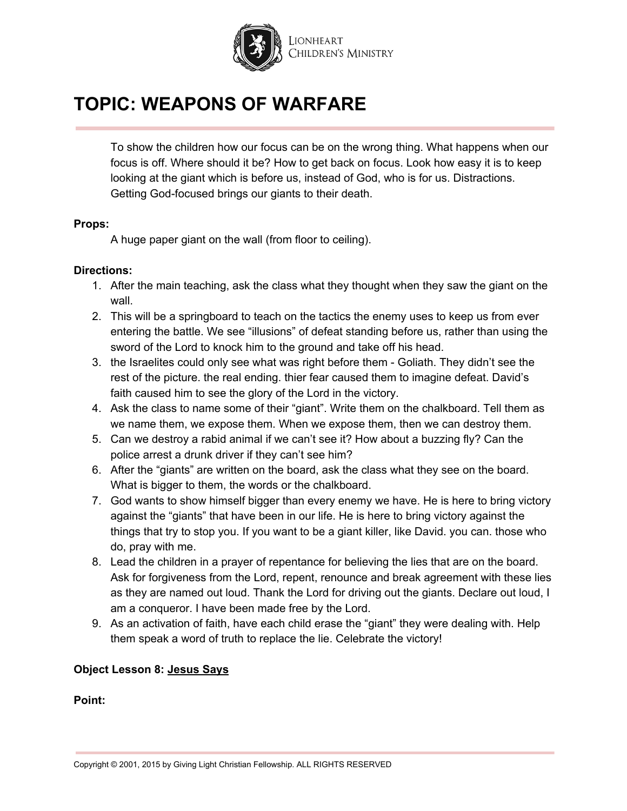

To show the children how our focus can be on the wrong thing. What happens when our focus is off. Where should it be? How to get back on focus. Look how easy it is to keep looking at the giant which is before us, instead of God, who is for us. Distractions. Getting God-focused brings our giants to their death.

#### **Props:**

A huge paper giant on the wall (from floor to ceiling).

### **Directions:**

- 1. After the main teaching, ask the class what they thought when they saw the giant on the wall.
- 2. This will be a springboard to teach on the tactics the enemy uses to keep us from ever entering the battle. We see "illusions" of defeat standing before us, rather than using the sword of the Lord to knock him to the ground and take off his head.
- 3. the Israelites could only see what was right before them Goliath. They didn't see the rest of the picture. the real ending. thier fear caused them to imagine defeat. David's faith caused him to see the glory of the Lord in the victory.
- 4. Ask the class to name some of their "giant". Write them on the chalkboard. Tell them as we name them, we expose them. When we expose them, then we can destroy them.
- 5. Can we destroy a rabid animal if we can't see it? How about a buzzing fly? Can the police arrest a drunk driver if they can't see him?
- 6. After the "giants" are written on the board, ask the class what they see on the board. What is bigger to them, the words or the chalkboard.
- 7. God wants to show himself bigger than every enemy we have. He is here to bring victory against the "giants" that have been in our life. He is here to bring victory against the things that try to stop you. If you want to be a giant killer, like David. you can. those who do, pray with me.
- 8. Lead the children in a prayer of repentance for believing the lies that are on the board. Ask for forgiveness from the Lord, repent, renounce and break agreement with these lies as they are named out loud. Thank the Lord for driving out the giants. Declare out loud, I am a conqueror. I have been made free by the Lord.
- 9. As an activation of faith, have each child erase the "giant" they were dealing with. Help them speak a word of truth to replace the lie. Celebrate the victory!

### **Object Lesson 8: Jesus Says**

**Point:**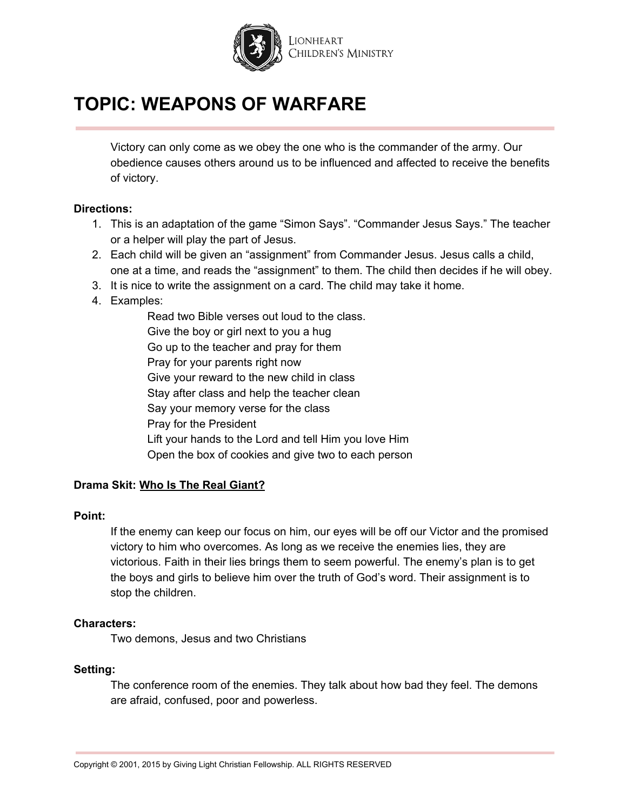

Victory can only come as we obey the one who is the commander of the army. Our obedience causes others around us to be influenced and affected to receive the benefits of victory.

### **Directions:**

- 1. This is an adaptation of the game "Simon Says". "Commander Jesus Says." The teacher or a helper will play the part of Jesus.
- 2. Each child will be given an "assignment" from Commander Jesus. Jesus calls a child, one at a time, and reads the "assignment" to them. The child then decides if he will obey.
- 3. It is nice to write the assignment on a card. The child may take it home.
- 4. Examples:

Read two Bible verses out loud to the class. Give the boy or girl next to you a hug Go up to the teacher and pray for them Pray for your parents right now Give your reward to the new child in class Stay after class and help the teacher clean Say your memory verse for the class Pray for the President Lift your hands to the Lord and tell Him you love Him Open the box of cookies and give two to each person

# **Drama Skit: Who Is The Real Giant?**

### **Point:**

If the enemy can keep our focus on him, our eyes will be off our Victor and the promised victory to him who overcomes. As long as we receive the enemies lies, they are victorious. Faith in their lies brings them to seem powerful. The enemy's plan is to get the boys and girls to believe him over the truth of God's word. Their assignment is to stop the children.

### **Characters:**

Two demons, Jesus and two Christians

### **Setting:**

The conference room of the enemies. They talk about how bad they feel. The demons are afraid, confused, poor and powerless.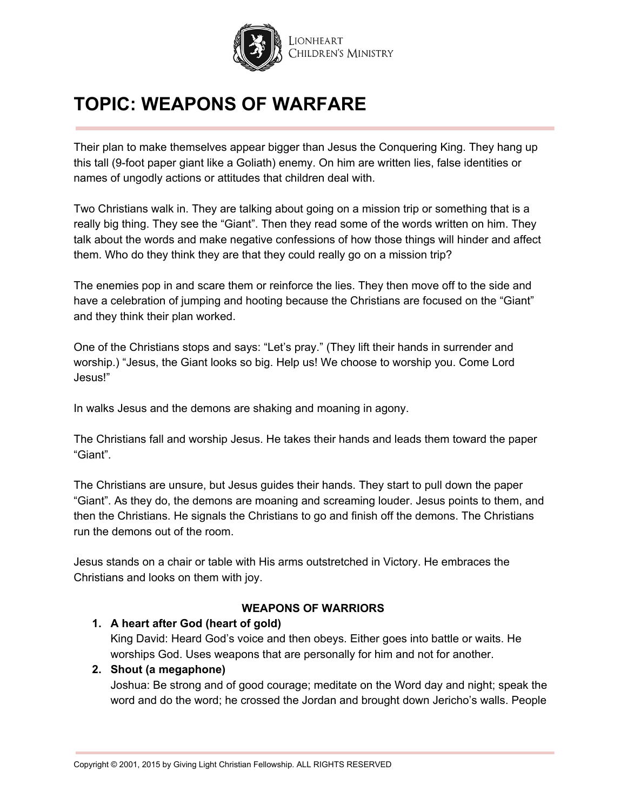

Their plan to make themselves appear bigger than Jesus the Conquering King. They hang up this tall (9-foot paper giant like a Goliath) enemy. On him are written lies, false identities or names of ungodly actions or attitudes that children deal with.

Two Christians walk in. They are talking about going on a mission trip or something that is a really big thing. They see the "Giant". Then they read some of the words written on him. They talk about the words and make negative confessions of how those things will hinder and affect them. Who do they think they are that they could really go on a mission trip?

The enemies pop in and scare them or reinforce the lies. They then move off to the side and have a celebration of jumping and hooting because the Christians are focused on the "Giant" and they think their plan worked.

One of the Christians stops and says: "Let's pray." (They lift their hands in surrender and worship.) "Jesus, the Giant looks so big. Help us! We choose to worship you. Come Lord Jesus!"

In walks Jesus and the demons are shaking and moaning in agony.

The Christians fall and worship Jesus. He takes their hands and leads them toward the paper "Giant".

The Christians are unsure, but Jesus guides their hands. They start to pull down the paper "Giant". As they do, the demons are moaning and screaming louder. Jesus points to them, and then the Christians. He signals the Christians to go and finish off the demons. The Christians run the demons out of the room.

Jesus stands on a chair or table with His arms outstretched in Victory. He embraces the Christians and looks on them with joy.

# **WEAPONS OF WARRIORS**

# **1. A heart after God (heart of gold)**

King David: Heard God's voice and then obeys. Either goes into battle or waits. He worships God. Uses weapons that are personally for him and not for another.

# **2. Shout (a megaphone)**

Joshua: Be strong and of good courage; meditate on the Word day and night; speak the word and do the word; he crossed the Jordan and brought down Jericho's walls. People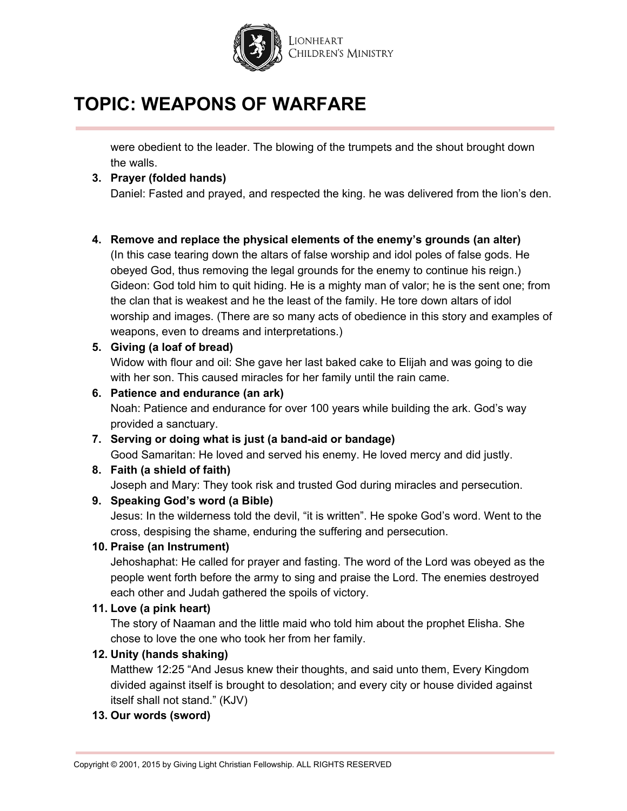

were obedient to the leader. The blowing of the trumpets and the shout brought down the walls.

# **3. Prayer (folded hands)**

Daniel: Fasted and prayed, and respected the king. he was delivered from the lion's den.

### **4. Remove and replace the physical elements of the enemy's grounds (an alter)**

(In this case tearing down the altars of false worship and idol poles of false gods. He obeyed God, thus removing the legal grounds for the enemy to continue his reign.) Gideon: God told him to quit hiding. He is a mighty man of valor; he is the sent one; from the clan that is weakest and he the least of the family. He tore down altars of idol worship and images. (There are so many acts of obedience in this story and examples of weapons, even to dreams and interpretations.)

### **5. Giving (a loaf of bread)**

Widow with flour and oil: She gave her last baked cake to Elijah and was going to die with her son. This caused miracles for her family until the rain came.

### **6. Patience and endurance (an ark)**

Noah: Patience and endurance for over 100 years while building the ark. God's way provided a sanctuary.

**7. Serving or doing what is just (a band-aid or bandage)** Good Samaritan: He loved and served his enemy. He loved mercy and did justly.

# **8. Faith (a shield of faith)**

Joseph and Mary: They took risk and trusted God during miracles and persecution.

# **9. Speaking God's word (a Bible)**

Jesus: In the wilderness told the devil, "it is written". He spoke God's word. Went to the cross, despising the shame, enduring the suffering and persecution.

# **10. Praise (an Instrument)**

Jehoshaphat: He called for prayer and fasting. The word of the Lord was obeyed as the people went forth before the army to sing and praise the Lord. The enemies destroyed each other and Judah gathered the spoils of victory.

# **11. Love (a pink heart)**

The story of Naaman and the little maid who told him about the prophet Elisha. She chose to love the one who took her from her family.

# **12. Unity (hands shaking)**

Matthew 12:25 "And Jesus knew their thoughts, and said unto them, Every Kingdom divided against itself is brought to desolation; and every city or house divided against itself shall not stand." (KJV)

# **13. Our words (sword)**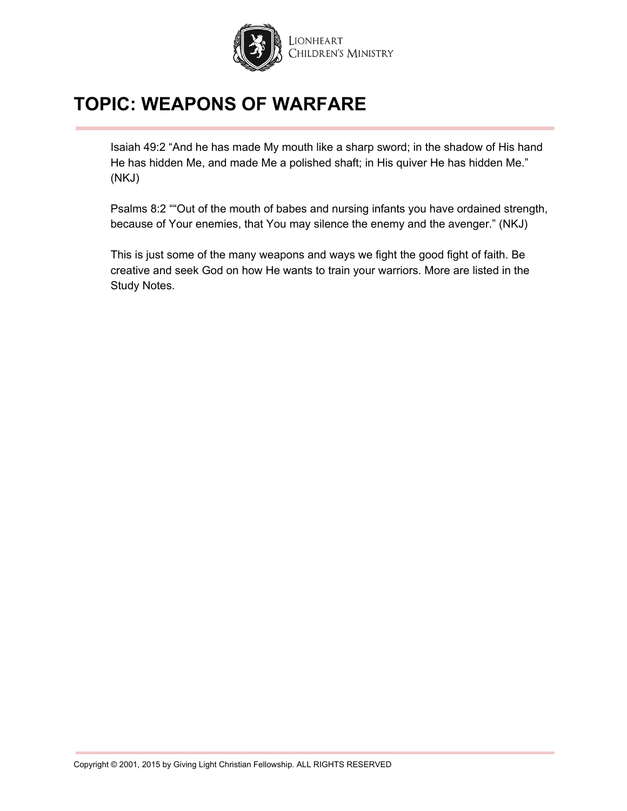

Isaiah 49:2 "And he has made My mouth like a sharp sword; in the shadow of His hand He has hidden Me, and made Me a polished shaft; in His quiver He has hidden Me." (NKJ)

Psalms 8:2 ""Out of the mouth of babes and nursing infants you have ordained strength, because of Your enemies, that You may silence the enemy and the avenger." (NKJ)

This is just some of the many weapons and ways we fight the good fight of faith. Be creative and seek God on how He wants to train your warriors. More are listed in the Study Notes.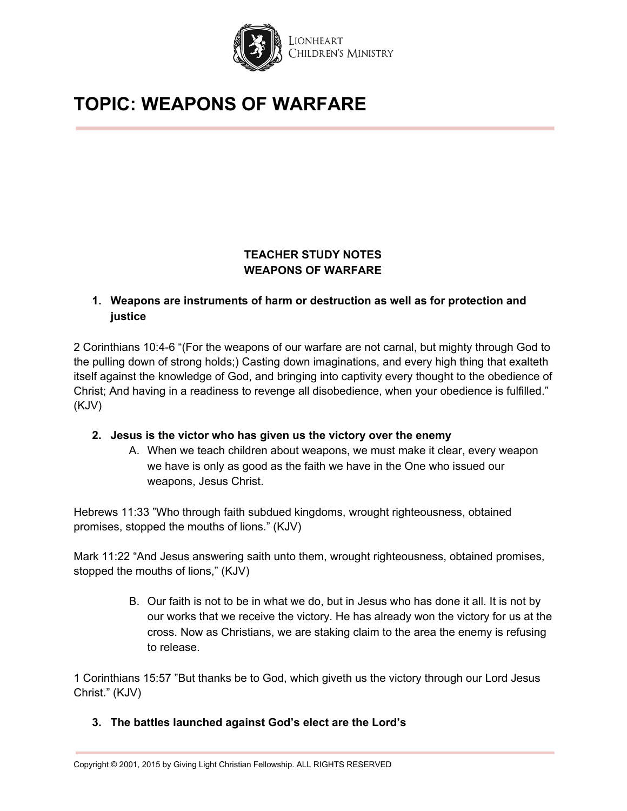

# **TEACHER STUDY NOTES WEAPONS OF WARFARE**

# **1. Weapons are instruments of harm or destruction as well as for protection and justice**

2 Corinthians 10:4-6 "(For the weapons of our warfare are not carnal, but mighty through God to the pulling down of strong holds;) Casting down imaginations, and every high thing that exalteth itself against the knowledge of God, and bringing into captivity every thought to the obedience of Christ; And having in a readiness to revenge all disobedience, when your obedience is fulfilled." (KJV)

# **2. Jesus is the victor who has given us the victory over the enemy**

A. When we teach children about weapons, we must make it clear, every weapon we have is only as good as the faith we have in the One who issued our weapons, Jesus Christ.

Hebrews 11:33 "Who through faith subdued kingdoms, wrought righteousness, obtained promises, stopped the mouths of lions." (KJV)

Mark 11:22 "And Jesus answering saith unto them, wrought righteousness, obtained promises, stopped the mouths of lions," (KJV)

> B. Our faith is not to be in what we do, but in Jesus who has done it all. It is not by our works that we receive the victory. He has already won the victory for us at the cross. Now as Christians, we are staking claim to the area the enemy is refusing to release.

1 Corinthians 15:57 "But thanks be to God, which giveth us the victory through our Lord Jesus Christ." (KJV)

# **3. The battles launched against God's elect are the Lord's**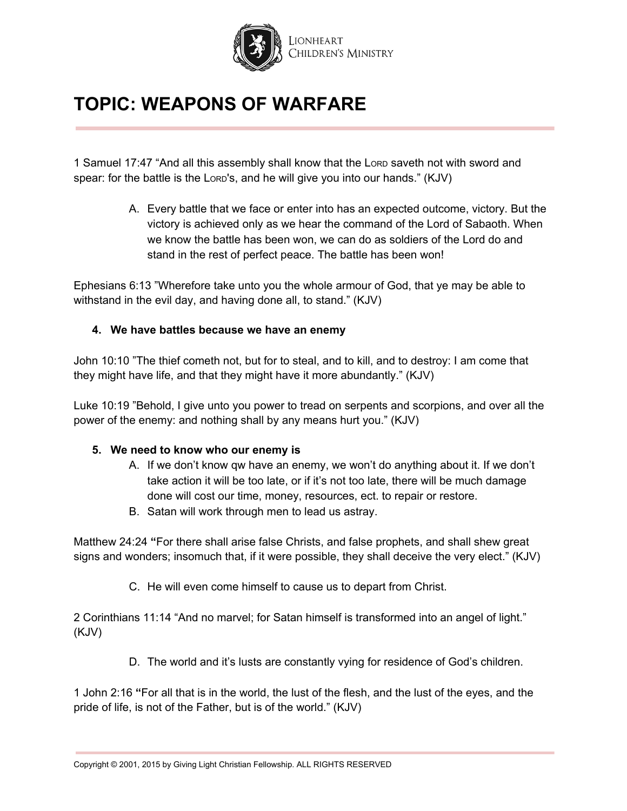

1 Samuel 17:47 "And all this assembly shall know that the LORD saveth not with sword and spear: for the battle is the LORD's, and he will give you into our hands." (KJV)

> A. Every battle that we face or enter into has an expected outcome, victory. But the victory is achieved only as we hear the command of the Lord of Sabaoth. When we know the battle has been won, we can do as soldiers of the Lord do and stand in the rest of perfect peace. The battle has been won!

Ephesians 6:13 "Wherefore take unto you the whole armour of God, that ye may be able to withstand in the evil day, and having done all, to stand." (KJV)

# **4. We have battles because we have an enemy**

John 10:10 "The thief cometh not, but for to steal, and to kill, and to destroy: I am come that they might have life, and that they might have it more abundantly." (KJV)

Luke 10:19 "Behold, I give unto you power to tread on serpents and scorpions, and over all the power of the enemy: and nothing shall by any means hurt you." (KJV)

### **5. We need to know who our enemy is**

- A. If we don't know qw have an enemy, we won't do anything about it. If we don't take action it will be too late, or if it's not too late, there will be much damage done will cost our time, money, resources, ect. to repair or restore.
- B. Satan will work through men to lead us astray.

Matthew 24:24 **"**For there shall arise false Christs, and false prophets, and shall shew great signs and wonders; insomuch that, if it were possible, they shall deceive the very elect." (KJV)

C. He will even come himself to cause us to depart from Christ.

2 Corinthians 11:14 "And no marvel; for Satan himself is transformed into an angel of light." (KJV)

D. The world and it's lusts are constantly vying for residence of God's children.

1 John 2:16 **"**For all that is in the world, the lust of the flesh, and the lust of the eyes, and the pride of life, is not of the Father, but is of the world." (KJV)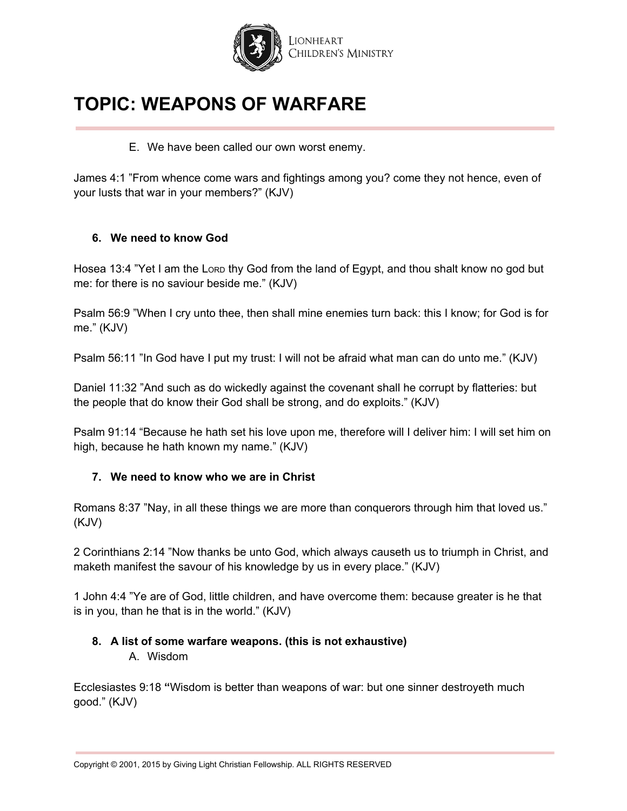

E. We have been called our own worst enemy.

James 4:1 "From whence come wars and fightings among you? come they not hence, even of your lusts that war in your members?" (KJV)

### **6. We need to know God**

Hosea 13:4 "Yet I am the Lorp thy God from the land of Egypt, and thou shalt know no god but me: for there is no saviour beside me." (KJV)

Psalm 56:9 "When I cry unto thee, then shall mine enemies turn back: this I know; for God is for me." (KJV)

Psalm 56:11 "In God have I put my trust: I will not be afraid what man can do unto me." (KJV)

Daniel 11:32 "And such as do wickedly against the covenant shall he corrupt by flatteries: but the people that do know their God shall be strong, and do exploits." (KJV)

Psalm 91:14 "Because he hath set his love upon me, therefore will I deliver him: I will set him on high, because he hath known my name." (KJV)

# **7. We need to know who we are in Christ**

Romans 8:37 "Nay, in all these things we are more than conquerors through him that loved us." (KJV)

2 Corinthians 2:14 "Now thanks be unto God, which always causeth us to triumph in Christ, and maketh manifest the savour of his knowledge by us in every place." (KJV)

1 John 4:4 "Ye are of God, little children, and have overcome them: because greater is he that is in you, than he that is in the world." (KJV)

# **8. A list of some warfare weapons. (this is not exhaustive)**

A. Wisdom

Ecclesiastes 9:18 **"**Wisdom is better than weapons of war: but one sinner destroyeth much good." (KJV)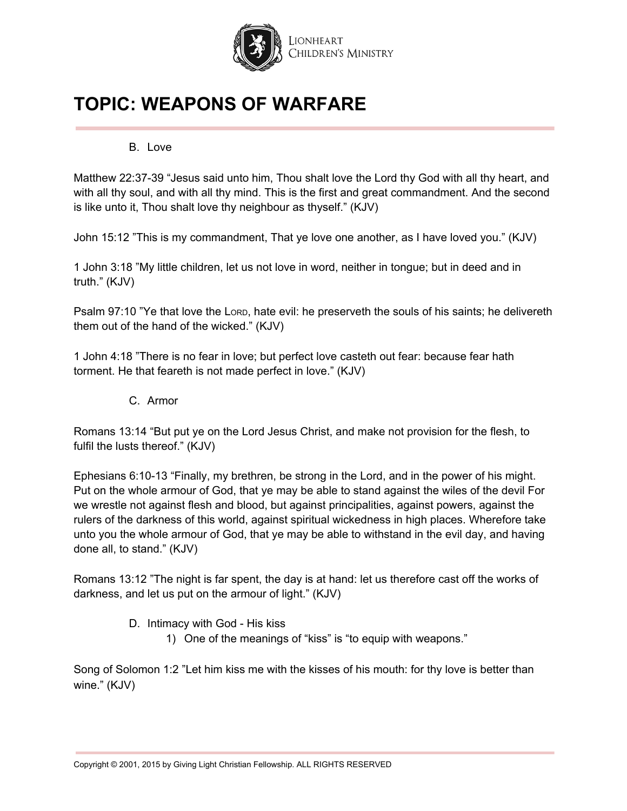

### B. Love

Matthew 22:37-39 "Jesus said unto him, Thou shalt love the Lord thy God with all thy heart, and with all thy soul, and with all thy mind. This is the first and great commandment. And the second is like unto it, Thou shalt love thy neighbour as thyself." (KJV)

John 15:12 "This is my commandment, That ye love one another, as I have loved you." (KJV)

1 John 3:18 "My little children, let us not love in word, neither in tongue; but in deed and in truth." (KJV)

Psalm 97:10 "Ye that love the LORD, hate evil: he preserveth the souls of his saints; he delivereth them out of the hand of the wicked." (KJV)

1 John 4:18 "There is no fear in love; but perfect love casteth out fear: because fear hath torment. He that feareth is not made perfect in love." (KJV)

C. Armor

Romans 13:14 "But put ye on the Lord Jesus Christ, and make not provision for the flesh, to fulfil the lusts thereof." (KJV)

Ephesians 6:10-13 "Finally, my brethren, be strong in the Lord, and in the power of his might. Put on the whole armour of God, that ye may be able to stand against the wiles of the devil For we wrestle not against flesh and blood, but against principalities, against powers, against the rulers of the darkness of this world, against spiritual wickedness in high places. Wherefore take unto you the whole armour of God, that ye may be able to withstand in the evil day, and having done all, to stand." (KJV)

Romans 13:12 "The night is far spent, the day is at hand: let us therefore cast off the works of darkness, and let us put on the armour of light." (KJV)

- D. Intimacy with God His kiss
	- 1) One of the meanings of "kiss" is "to equip with weapons."

Song of Solomon 1:2 "Let him kiss me with the kisses of his mouth: for thy love is better than wine." (KJV)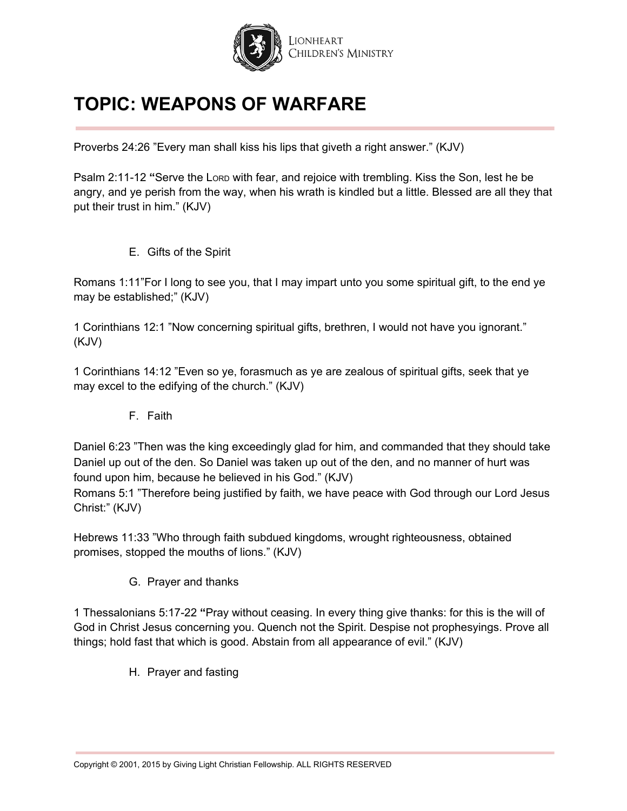

Proverbs 24:26 "Every man shall kiss his lips that giveth a right answer." (KJV)

Psalm 2:11-12 **"**Serve the LORD with fear, and rejoice with trembling. Kiss the Son, lest he be angry, and ye perish from the way, when his wrath is kindled but a little. Blessed are all they that put their trust in him." (KJV)

E. Gifts of the Spirit

Romans 1:11"For I long to see you, that I may impart unto you some spiritual gift, to the end ye may be established;" (KJV)

1 Corinthians 12:1 "Now concerning spiritual gifts, brethren, I would not have you ignorant." (KJV)

1 Corinthians 14:12 "Even so ye, forasmuch as ye are zealous of spiritual gifts, seek that ye may excel to the edifying of the church." (KJV)

F. Faith

Daniel 6:23 "Then was the king exceedingly glad for him, and commanded that they should take Daniel up out of the den. So Daniel was taken up out of the den, and no manner of hurt was found upon him, because he believed in his God." (KJV)

Romans 5:1 "Therefore being justified by faith, we have peace with God through our Lord Jesus Christ:" (KJV)

Hebrews 11:33 "Who through faith subdued kingdoms, wrought righteousness, obtained promises, stopped the mouths of lions." (KJV)

G. Prayer and thanks

1 Thessalonians 5:17-22 **"**Pray without ceasing. In every thing give thanks: for this is the will of God in Christ Jesus concerning you. Quench not the Spirit. Despise not prophesyings. Prove all things; hold fast that which is good. Abstain from all appearance of evil." (KJV)

H. Prayer and fasting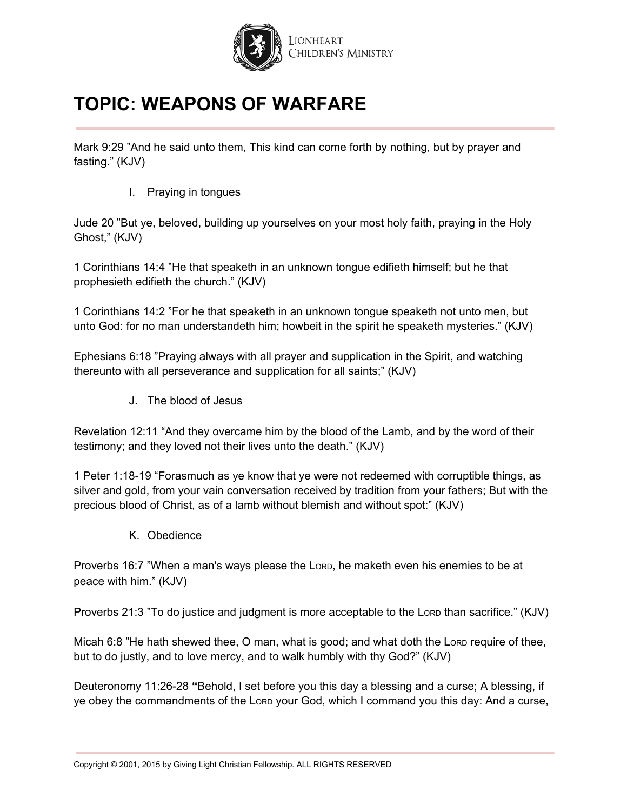

Mark 9:29 "And he said unto them, This kind can come forth by nothing, but by prayer and fasting." (KJV)

I. Praying in tongues

Jude 20 "But ye, beloved, building up yourselves on your most holy faith, praying in the Holy Ghost," (KJV)

1 Corinthians 14:4 "He that speaketh in an unknown tongue edifieth himself; but he that prophesieth edifieth the church." (KJV)

1 Corinthians 14:2 "For he that speaketh in an unknown tongue speaketh not unto men, but unto God: for no man understandeth him; howbeit in the spirit he speaketh mysteries." (KJV)

Ephesians 6:18 "Praying always with all prayer and supplication in the Spirit, and watching thereunto with all perseverance and supplication for all saints;" (KJV)

J. The blood of Jesus

Revelation 12:11 "And they overcame him by the blood of the Lamb, and by the word of their testimony; and they loved not their lives unto the death." (KJV)

1 Peter 1:18-19 "Forasmuch as ye know that ye were not redeemed with corruptible things, as silver and gold, from your vain conversation received by tradition from your fathers; But with the precious blood of Christ, as of a lamb without blemish and without spot:" (KJV)

K. Obedience

Proverbs 16:7 "When a man's ways please the LORD, he maketh even his enemies to be at peace with him." (KJV)

Proverbs 21:3 "To do justice and judgment is more acceptable to the LoRD than sacrifice." (KJV)

Micah 6:8 "He hath shewed thee, O man, what is good; and what doth the LoRD require of thee, but to do justly, and to love mercy, and to walk humbly with thy God?" (KJV)

Deuteronomy 11:26-28 **"**Behold, I set before you this day a blessing and a curse; A blessing, if ye obey the commandments of the LORD your God, which I command you this day: And a curse,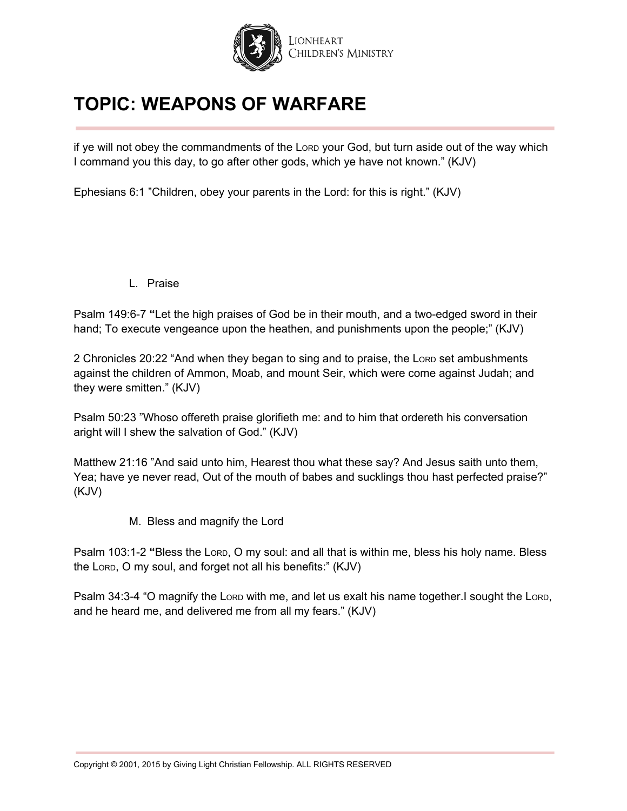

if ye will not obey the commandments of the LORD your God, but turn aside out of the way which I command you this day, to go after other gods, which ye have not known." (KJV)

Ephesians 6:1 "Children, obey your parents in the Lord: for this is right." (KJV)

L. Praise

Psalm 149:6-7 **"**Let the high praises of God be in their mouth, and a two-edged sword in their hand; To execute vengeance upon the heathen, and punishments upon the people;" (KJV)

2 Chronicles 20:22 "And when they began to sing and to praise, the Lorp set ambushments against the children of Ammon, Moab, and mount Seir, which were come against Judah; and they were smitten." (KJV)

Psalm 50:23 "Whoso offereth praise glorifieth me: and to him that ordereth his conversation aright will I shew the salvation of God." (KJV)

Matthew 21:16 "And said unto him, Hearest thou what these say? And Jesus saith unto them, Yea; have ye never read, Out of the mouth of babes and sucklings thou hast perfected praise?" (KJV)

M. Bless and magnify the Lord

Psalm 103:1-2 **"**Bless the LORD, O my soul: and all that is within me, bless his holy name. Bless the LORD, O my soul, and forget not all his benefits:" (KJV)

Psalm 34:3-4 "O magnify the LORD with me, and let us exalt his name together.I sought the LORD, and he heard me, and delivered me from all my fears." (KJV)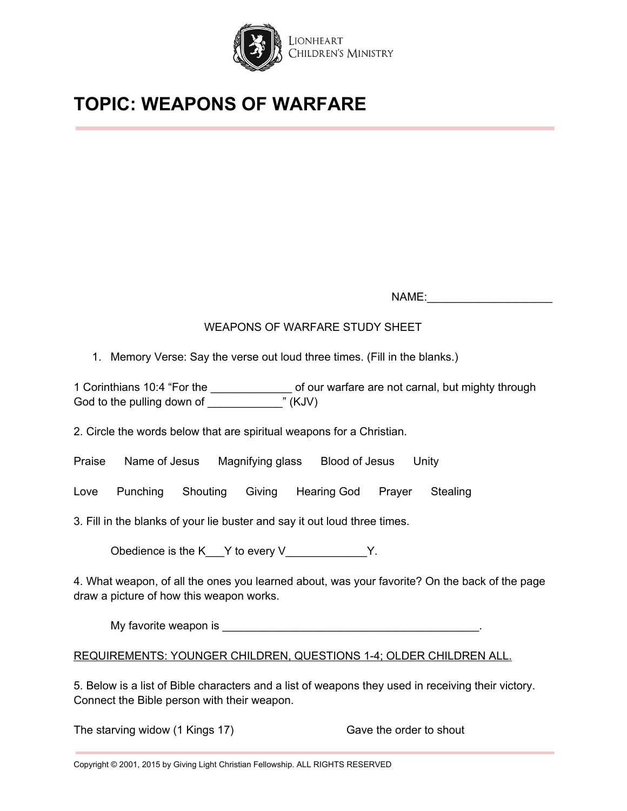

NAME:

# WEAPONS OF WARFARE STUDY SHEET

1. Memory Verse: Say the verse out loud three times. (Fill in the blanks.)

1 Corinthians 10:4 "For the \_\_\_\_\_\_\_\_\_\_\_\_\_\_\_\_\_\_\_ of our warfare are not carnal, but mighty through God to the pulling down of God to the pulling down of

2. Circle the words below that are spiritual weapons for a Christian.

|  | Praise | Name of Jesus | Magnifying glass | Blood of Jesus | Unity |
|--|--------|---------------|------------------|----------------|-------|
|--|--------|---------------|------------------|----------------|-------|

Love Punching Shouting Giving Hearing God Prayer Stealing

3. Fill in the blanks of your lie buster and say it out loud three times.

Obedience is the K  $\blacksquare$  Y to every V  $\blacksquare$  Y.

4. What weapon, of all the ones you learned about, was your favorite? On the back of the page draw a picture of how this weapon works.

My favorite weapon is **EXECUTE:**  $\frac{1}{2}$  and  $\frac{1}{2}$  and  $\frac{1}{2}$  and  $\frac{1}{2}$  and  $\frac{1}{2}$  and  $\frac{1}{2}$  and  $\frac{1}{2}$  and  $\frac{1}{2}$  and  $\frac{1}{2}$  and  $\frac{1}{2}$  and  $\frac{1}{2}$  and  $\frac{1}{2}$  and  $\frac{1}{2}$  and  $\frac{1}{2$ 

REQUIREMENTS: YOUNGER CHILDREN, QUESTIONS 1-4; OLDER CHILDREN ALL.

5. Below is a list of Bible characters and a list of weapons they used in receiving their victory. Connect the Bible person with their weapon.

The starving widow (1 Kings 17) Gave the order to shout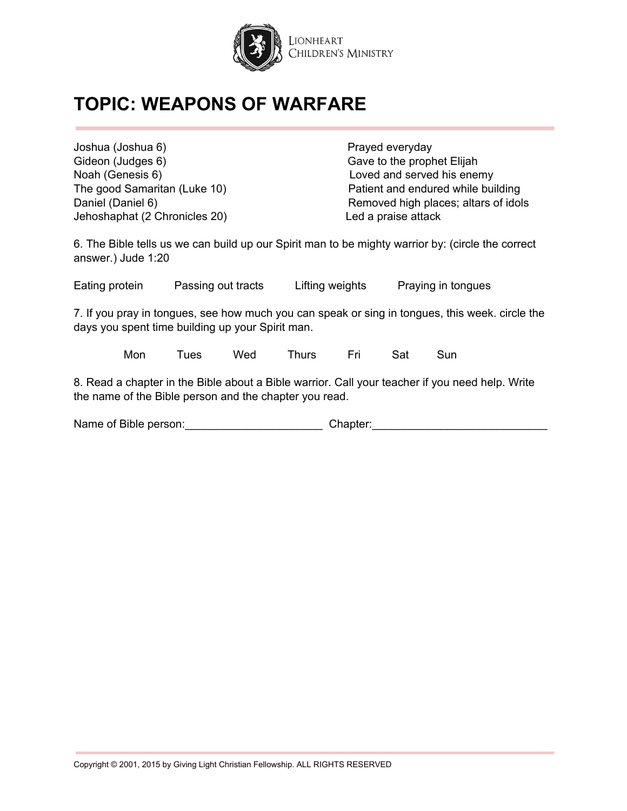

Joshua (Joshua 6) **Prayed everyday** Gideon (Judges 6) Gave to the prophet Elijah Noah (Genesis 6) Loved and served his enemy Jehoshaphat (2 Chronicles 20) Led a praise attack

The good Samaritan (Luke 10) Patient and endured while building Daniel (Daniel 6) Removed high places; altars of idols

6. The Bible tells us we can build up our Spirit man to be mighty warrior by: (circle the correct answer.) Jude 1:20

Eating protein Passing out tracts Lifting weights Praying in tongues

7. If you pray in tongues, see how much you can speak or sing in tongues, this week. circle the days you spent time building up your Spirit man.

Mon Tues Wed Thurs Fri Sat Sun

8. Read a chapter in the Bible about a Bible warrior. Call your teacher if you need help. Write the name of the Bible person and the chapter you read.

Name of Bible person: entertainment of Bible person: